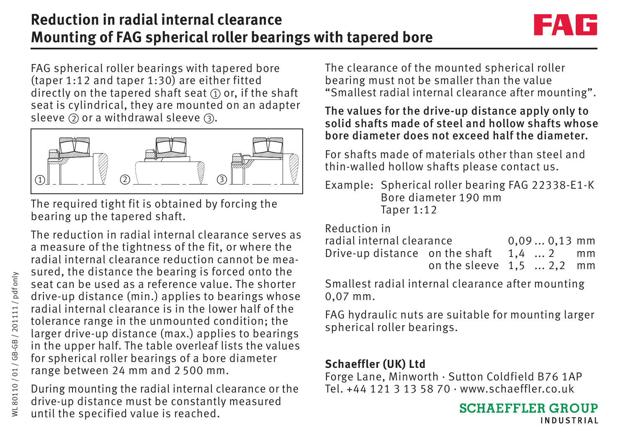## **Reduction in radial internal clearance Mounting of FAG spherical roller bearings with tapered bore**



FAG spherical roller bearings with tapered bore (taper 1:12 and taper 1:30) are either fitted directly on the tapered shaft seat  $\oplus$  or, if the shaft seat is cylindrical, they are mounted on an adapter sleeve  $\circled{2}$  or a withdrawal sleeve  $\circled{3}.$ 



The required tight fit is obtained by forcing the bearing up the tapered shaft.

The reduction in radial internal clearance serves as a measure of the tightness of the fit, or where the radial internal clearance reduction cannot be measured, the distance the bearing is forced onto the seat can be used as a reference value. The shorter drive-up distance (min.) applies to bearings whose radial internal clearance is in the lower half of the tolerance range in the unmounted condition; the larger drive-up distance (max.) applies to bearings in the upper half. The table overleaf lists the values for spherical roller bearings of a bore diameter range between 24 mm and 2 500 mm.

During mounting the radial internal clearance or the drive-up distance must be constantly measured until the specified value is reached.

The clearance of the mounted spherical roller bearing must not be smaller than the value "Smallest radial internal clearance after mounting".

The values for the drive-up distance apply only to solid shafts made of steel and hollow shafts whose bore diameter does not exceed half the diameter.

For shafts made of materials other than steel and thin-walled hollow shafts please contact us.

Example: Spherical roller bearing FAG 22338-E1-K Bore diameter 190 mm Taper 1:12

Reduction in

| radial internal clearance                        | $0.090.13$ mm              |  |  |
|--------------------------------------------------|----------------------------|--|--|
| Drive-up distance on the shaft $1.4 \ldots 2$ mm |                            |  |  |
|                                                  | on the sleeve $1,5$ 2,2 mm |  |  |

Smallest radial internal clearance after mounting 0,07 mm.

FAG hydraulic nuts are suitable for mounting larger spherical roller bearings.

## **Schaeffler (UK) Ltd**

Forge Lane, Minworth · Sutton Coldfield B76 1AP Tel. +44 121 3 13 58 70 · www.schaeffler.co.uk

> **SCHAEFFLER GROUP INDUSTRIAL**